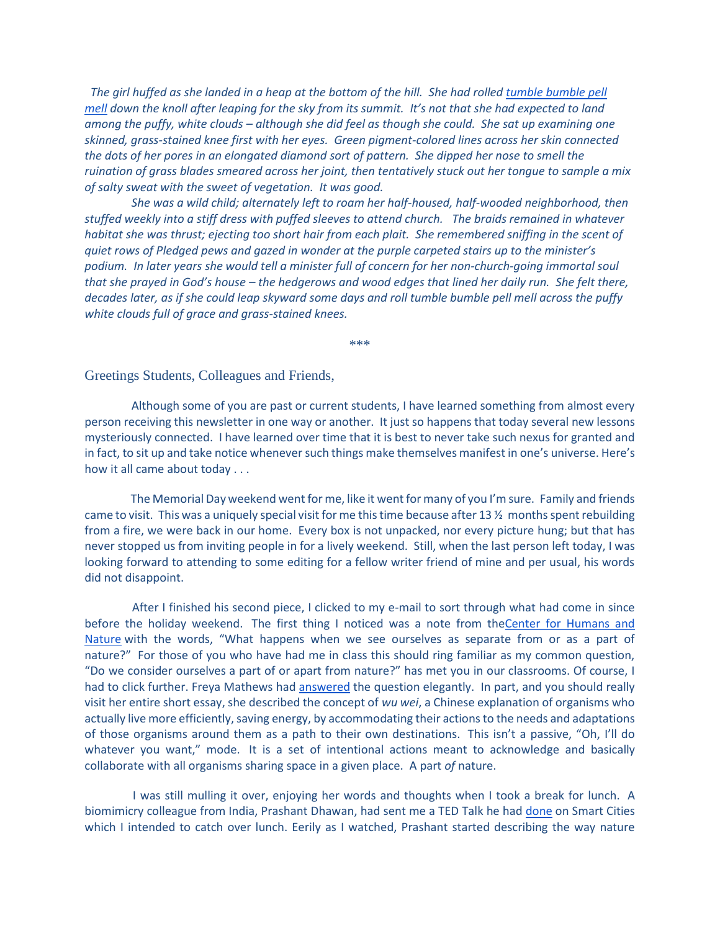*The girl huffed as she landed in a heap at the bottom of the hill. She had rolled [tumble bumble pell](https://archive.org/stream/PokyLittlePuppy/Poky%20little%20Puppy_djvu.txt)  [mell](https://archive.org/stream/PokyLittlePuppy/Poky%20little%20Puppy_djvu.txt) down the knoll after leaping for the sky from its summit. It's not that she had expected to land among the puffy, white clouds – although she did feel as though she could. She sat up examining one skinned, grass-stained knee first with her eyes. Green pigment-colored lines across her skin connected the dots of her pores in an elongated diamond sort of pattern. She dipped her nose to smell the ruination of grass blades smeared across her joint, then tentatively stuck out her tongue to sample a mix of salty sweat with the sweet of vegetation. It was good.*

 *She was a wild child; alternately left to roam her half-housed, half-wooded neighborhood, then stuffed weekly into a stiff dress with puffed sleeves to attend church. The braids remained in whatever habitat she was thrust; ejecting too short hair from each plait. She remembered sniffing in the scent of quiet rows of Pledged pews and gazed in wonder at the purple carpeted stairs up to the minister's podium. In later years she would tell a minister full of concern for her non-church-going immortal soul that she prayed in God's house – the hedgerows and wood edges that lined her daily run. She felt there, decades later, as if she could leap skyward some days and roll tumble bumble pell mell across the puffy white clouds full of grace and grass-stained knees.*

\*\*\*

Greetings Students, Colleagues and Friends,

 Although some of you are past or current students, I have learned something from almost every person receiving this newsletter in one way or another. It just so happens that today several new lessons mysteriously connected. I have learned over time that it is best to never take such nexus for granted and in fact, to sit up and take notice whenever such things make themselves manifest in one's universe. Here's how it all came about today . . .

 The Memorial Day weekend went for me, like it went for many of you I'm sure. Family and friends came to visit. This was a uniquely special visit for me this time because after 13 ½ months spent rebuilding from a fire, we were back in our home. Every box is not unpacked, nor every picture hung; but that has never stopped us from inviting people in for a lively weekend. Still, when the last person left today, I was looking forward to attending to some editing for a fellow writer friend of mine and per usual, his words did not disappoint.

 After I finished his second piece, I clicked to my e-mail to sort through what had come in since before the holiday weekend. The first thing I noticed was a note from th[eCenter for Humans and](http://www.humansandnature.org/)  [Nature](http://www.humansandnature.org/) with the words, "What happens when we see ourselves as separate from or as a part of nature?" For those of you who have had me in class this should ring familiar as my common question, "Do we consider ourselves a part of or apart from nature?" has met you in our classrooms. Of course, I had to click further. Freya Mathews had [answered](http://www.humansandnature.org/nature-as-the-law-within-us) the question elegantly. In part, and you should really visit her entire short essay, she described the concept of *wu wei*, a Chinese explanation of organisms who actually live more efficiently, saving energy, by accommodating their actions to the needs and adaptations of those organisms around them as a path to their own destinations. This isn't a passive, "Oh, I'll do whatever you want," mode. It is a set of intentional actions meant to acknowledge and basically collaborate with all organisms sharing space in a given place. A part *of* nature.

 I was still mulling it over, enjoying her words and thoughts when I took a break for lunch. A biomimicry colleague from India, Prashant Dhawan, had sent me a TED Talk he had [done](https://www.youtube.com/watch?v=doVRMBPUOhA&lipi=urn%3Ali%3Apage%3Ad_flagship3_messaging%3Bya8kGV4UTMiefoyOcZhteg%3D%3D) on Smart Cities which I intended to catch over lunch. Eerily as I watched, Prashant started describing the way nature